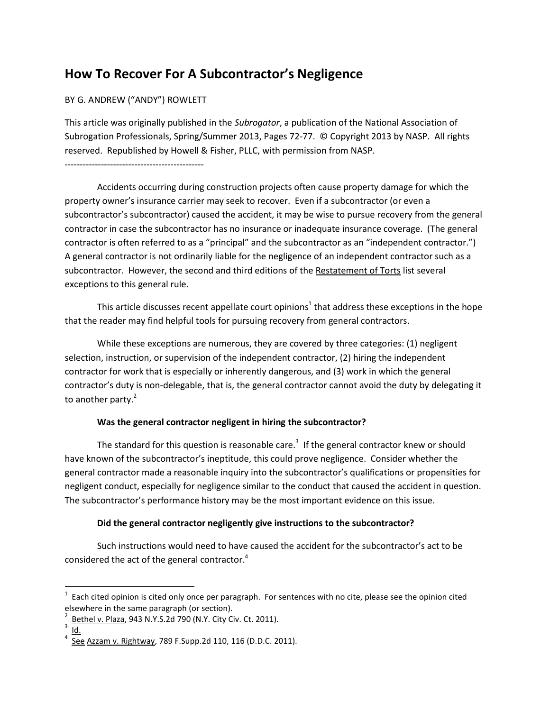# **How To Recover For A Subcontractor's Negligence**

#### BY G. ANDREW ("ANDY") ROWLETT

This article was originally published in the *Subrogator*, a publication of the National Association of Subrogation Professionals, Spring/Summer 2013, Pages 72-77. © Copyright 2013 by NASP. All rights reserved. Republished by Howell & Fisher, PLLC, with permission from NASP.

----------------------------------------------

Accidents occurring during construction projects often cause property damage for which the property owner's insurance carrier may seek to recover. Even if a subcontractor (or even a subcontractor's subcontractor) caused the accident, it may be wise to pursue recovery from the general contractor in case the subcontractor has no insurance or inadequate insurance coverage. (The general contractor is often referred to as a "principal" and the subcontractor as an "independent contractor.") A general contractor is not ordinarily liable for the negligence of an independent contractor such as a subcontractor. However, the second and third editions of the Restatement of Torts list several exceptions to this general rule.

This article discusses recent appellate court opinions<sup>1</sup> that address these exceptions in the hope that the reader may find helpful tools for pursuing recovery from general contractors.

While these exceptions are numerous, they are covered by three categories: (1) negligent selection, instruction, or supervision of the independent contractor, (2) hiring the independent contractor for work that is especially or inherently dangerous, and (3) work in which the general contractor's duty is non-delegable, that is, the general contractor cannot avoid the duty by delegating it to another party. $2$ 

## **Was the general contractor negligent in hiring the subcontractor?**

The standard for this question is reasonable care.<sup>3</sup> If the general contractor knew or should have known of the subcontractor's ineptitude, this could prove negligence. Consider whether the general contractor made a reasonable inquiry into the subcontractor's qualifications or propensities for negligent conduct, especially for negligence similar to the conduct that caused the accident in question. The subcontractor's performance history may be the most important evidence on this issue.

## **Did the general contractor negligently give instructions to the subcontractor?**

Such instructions would need to have caused the accident for the subcontractor's act to be considered the act of the general contractor.<sup>4</sup>

 $\overline{1}$  $1$  Each cited opinion is cited only once per paragraph. For sentences with no cite, please see the opinion cited elsewhere in the same paragraph (or section).<br> $2$  Bethel v. Plaza, 943 N.Y.S.2d 790 (N.Y. City Civ. Ct. 2011).

 $\frac{3}{3}$   $\frac{1}{10}$ .<br>4 See Azzam v. Rightway, 789 F.Supp.2d 110, 116 (D.D.C. 2011).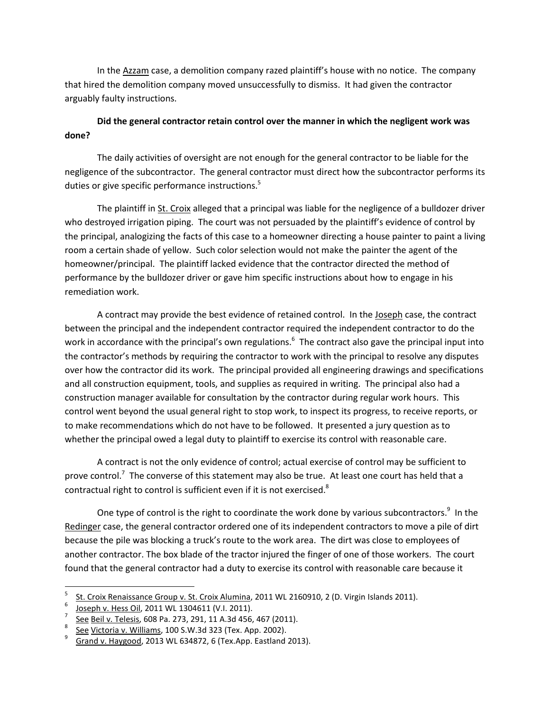In the Azzam case, a demolition company razed plaintiff's house with no notice. The company that hired the demolition company moved unsuccessfully to dismiss. It had given the contractor arguably faulty instructions.

## **Did the general contractor retain control over the manner in which the negligent work was done?**

The daily activities of oversight are not enough for the general contractor to be liable for the negligence of the subcontractor. The general contractor must direct how the subcontractor performs its duties or give specific performance instructions.<sup>5</sup>

The plaintiff in St. Croix alleged that a principal was liable for the negligence of a bulldozer driver who destroyed irrigation piping. The court was not persuaded by the plaintiff's evidence of control by the principal, analogizing the facts of this case to a homeowner directing a house painter to paint a living room a certain shade of yellow. Such color selection would not make the painter the agent of the homeowner/principal. The plaintiff lacked evidence that the contractor directed the method of performance by the bulldozer driver or gave him specific instructions about how to engage in his remediation work.

A contract may provide the best evidence of retained control. In the Joseph case, the contract between the principal and the independent contractor required the independent contractor to do the work in accordance with the principal's own regulations.<sup>6</sup> The contract also gave the principal input into the contractor's methods by requiring the contractor to work with the principal to resolve any disputes over how the contractor did its work. The principal provided all engineering drawings and specifications and all construction equipment, tools, and supplies as required in writing. The principal also had a construction manager available for consultation by the contractor during regular work hours. This control went beyond the usual general right to stop work, to inspect its progress, to receive reports, or to make recommendations which do not have to be followed. It presented a jury question as to whether the principal owed a legal duty to plaintiff to exercise its control with reasonable care.

A contract is not the only evidence of control; actual exercise of control may be sufficient to prove control.<sup>7</sup> The converse of this statement may also be true. At least one court has held that a contractual right to control is sufficient even if it is not exercised.<sup>8</sup>

One type of control is the right to coordinate the work done by various subcontractors.<sup>9</sup> In the Redinger case, the general contractor ordered one of its independent contractors to move a pile of dirt because the pile was blocking a truck's route to the work area. The dirt was close to employees of another contractor. The box blade of the tractor injured the finger of one of those workers. The court found that the general contractor had a duty to exercise its control with reasonable care because it

 <sup>5</sup> <sup>5</sup> St. Croix Renaissance Group v. St. Croix Alumina, 2011 WL 2160910, 2 (D. Virgin Islands 2011).

Joseph v. Hess Oil, 2011 WL 1304611 (V.I. 2011). <sup>7</sup>

See Beil v. Telesis, 608 Pa. 273, 291, 11 A.3d 456, 467 (2011).

See Victoria v. Williams, 100 S.W.3d 323 (Tex. App. 2002). <sup>9</sup>

Grand v. Haygood, 2013 WL 634872, 6 (Tex.App. Eastland 2013).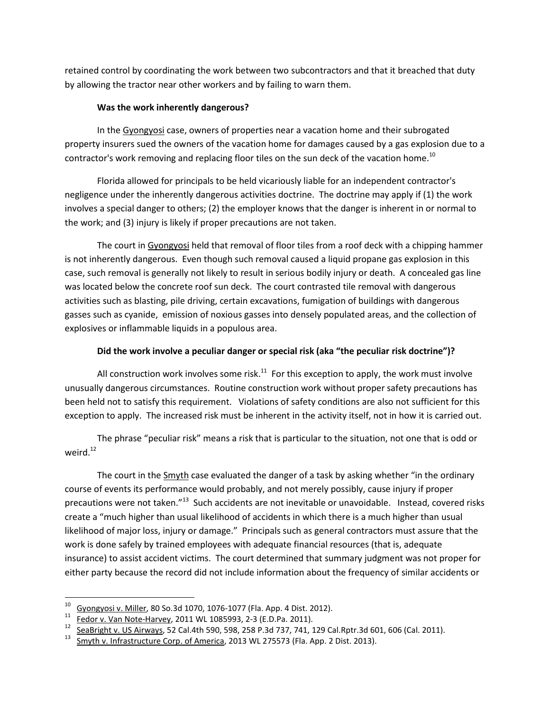retained control by coordinating the work between two subcontractors and that it breached that duty by allowing the tractor near other workers and by failing to warn them.

#### **Was the work inherently dangerous?**

In the Gyongyosi case, owners of properties near a vacation home and their subrogated property insurers sued the owners of the vacation home for damages caused by a gas explosion due to a contractor's work removing and replacing floor tiles on the sun deck of the vacation home.<sup>10</sup>

Florida allowed for principals to be held vicariously liable for an independent contractor's negligence under the inherently dangerous activities doctrine. The doctrine may apply if (1) the work involves a special danger to others; (2) the employer knows that the danger is inherent in or normal to the work; and (3) injury is likely if proper precautions are not taken.

The court in Gyongyosi held that removal of floor tiles from a roof deck with a chipping hammer is not inherently dangerous. Even though such removal caused a liquid propane gas explosion in this case, such removal is generally not likely to result in serious bodily injury or death. A concealed gas line was located below the concrete roof sun deck. The court contrasted tile removal with dangerous activities such as blasting, pile driving, certain excavations, fumigation of buildings with dangerous gasses such as cyanide, emission of noxious gasses into densely populated areas, and the collection of explosives or inflammable liquids in a populous area.

## **Did the work involve a peculiar danger or special risk (aka "the peculiar risk doctrine")?**

All construction work involves some risk.<sup>11</sup> For this exception to apply, the work must involve unusually dangerous circumstances. Routine construction work without proper safety precautions has been held not to satisfy this requirement. Violations of safety conditions are also not sufficient for this exception to apply. The increased risk must be inherent in the activity itself, not in how it is carried out.

The phrase "peculiar risk" means a risk that is particular to the situation, not one that is odd or weird. 12

The court in the Smyth case evaluated the danger of a task by asking whether "in the ordinary course of events its performance would probably, and not merely possibly, cause injury if proper precautions were not taken."<sup>13</sup> Such accidents are not inevitable or unavoidable. Instead, covered risks create a "much higher than usual likelihood of accidents in which there is a much higher than usual likelihood of major loss, injury or damage." Principals such as general contractors must assure that the work is done safely by trained employees with adequate financial resources (that is, adequate insurance) to assist accident victims. The court determined that summary judgment was not proper for either party because the record did not include information about the frequency of similar accidents or

<sup>&</sup>lt;sup>10</sup> Gyongyosi v. Miller, 80 So.3d 1070, 1076-1077 (Fla. App. 4 Dist. 2012).<br>
<sup>11</sup> Eedor v. Van Note-Harvey, 2011 WL 1085993, 2-3 (E.D.Pa. 2011).<br>
<sup>12</sup> SeaBright v. US Airways, 52 Cal.4th 590, 598, 258 P.3d 737, 741, 129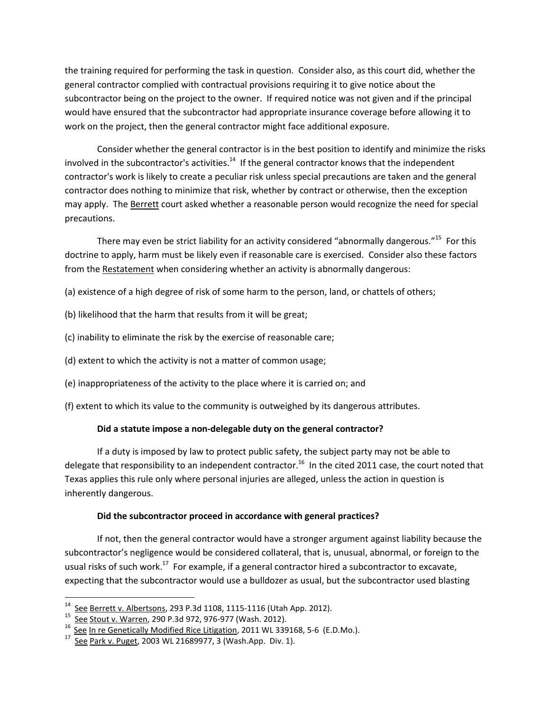the training required for performing the task in question. Consider also, as this court did, whether the general contractor complied with contractual provisions requiring it to give notice about the subcontractor being on the project to the owner. If required notice was not given and if the principal would have ensured that the subcontractor had appropriate insurance coverage before allowing it to work on the project, then the general contractor might face additional exposure.

Consider whether the general contractor is in the best position to identify and minimize the risks involved in the subcontractor's activities.<sup>14</sup> If the general contractor knows that the independent contractor's work is likely to create a peculiar risk unless special precautions are taken and the general contractor does nothing to minimize that risk, whether by contract or otherwise, then the exception may apply. The Berrett court asked whether a reasonable person would recognize the need for special precautions.

There may even be strict liability for an activity considered "abnormally dangerous."<sup>15</sup> For this doctrine to apply, harm must be likely even if reasonable care is exercised. Consider also these factors from the Restatement when considering whether an activity is abnormally dangerous:

(a) existence of a high degree of risk of some harm to the person, land, or chattels of others;

- (b) likelihood that the harm that results from it will be great;
- (c) inability to eliminate the risk by the exercise of reasonable care;
- (d) extent to which the activity is not a matter of common usage;
- (e) inappropriateness of the activity to the place where it is carried on; and
- (f) extent to which its value to the community is outweighed by its dangerous attributes.

## **Did a statute impose a non-delegable duty on the general contractor?**

If a duty is imposed by law to protect public safety, the subject party may not be able to delegate that responsibility to an independent contractor.<sup>16</sup> In the cited 2011 case, the court noted that Texas applies this rule only where personal injuries are alleged, unless the action in question is inherently dangerous.

# **Did the subcontractor proceed in accordance with general practices?**

If not, then the general contractor would have a stronger argument against liability because the subcontractor's negligence would be considered collateral, that is, unusual, abnormal, or foreign to the usual risks of such work.<sup>17</sup> For example, if a general contractor hired a subcontractor to excavate, expecting that the subcontractor would use a bulldozer as usual, but the subcontractor used blasting

<sup>&</sup>lt;sup>14</sup> See Berrett v. Albertsons, 293 P.3d 1108, 1115-1116 (Utah App. 2012).<br><sup>15</sup> See Stout v. Warren, 290 P.3d 972, 976-977 (Wash. 2012).<br><sup>16</sup> See In re Genetically Modified Rice Litigation, 2011 WL 339168, 5-6 (E.D.Mo.).<br>